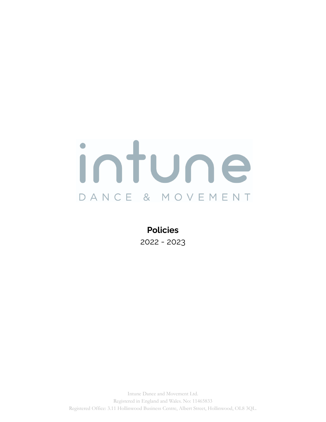

**Policies** 2022 - 2023

Intune Dance and Movement Ltd. Registered in England and Wales. No: 11465833 Registered Office: 3.11 Hollinwood Business Centre, Albert Street, Hollinwood, OL8 3QL.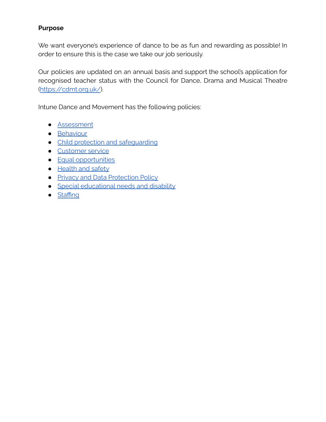## **Purpose**

We want everyone's experience of dance to be as fun and rewarding as possible! In order to ensure this is the case we take our job seriously.

Our policies are updated on an annual basis and support the school's application for recognised teacher status with the Council for Dance, Drama and Musical Theatre [\(https://cdmt.org.uk/](https://cdmt.org.uk/)).

Intune Dance and Movement has the following policies:

- [Assessment](#page-2-0)
- **[Behaviour](#page-3-0)**
- Child protection and safequarding
- [Customer](#page-8-0) service
- Equal [opportunities](#page-10-0)
- [Health](#page-11-0) and safety
- Privacy and Data [Protection](#page-13-0) Policy
- Special [educational](#page-17-0) needs and disability
- [Staffing](#page-18-0)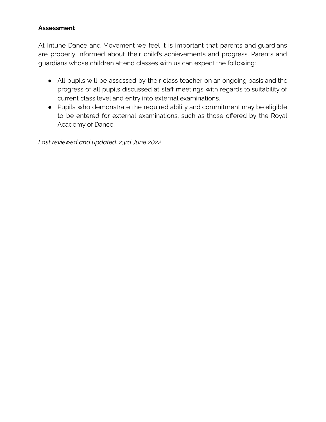# <span id="page-2-0"></span>**Assessment**

At Intune Dance and Movement we feel it is important that parents and guardians are properly informed about their child's achievements and progress. Parents and guardians whose children attend classes with us can expect the following:

- All pupils will be assessed by their class teacher on an ongoing basis and the progress of all pupils discussed at staff meetings with regards to suitability of current class level and entry into external examinations.
- Pupils who demonstrate the required ability and commitment may be eligible to be entered for external examinations, such as those offered by the Royal Academy of Dance.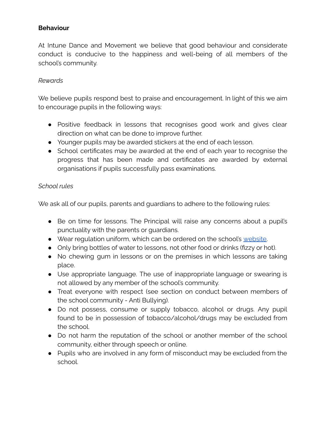### <span id="page-3-0"></span>**Behaviour**

At Intune Dance and Movement we believe that good behaviour and considerate conduct is conducive to the happiness and well-being of all members of the school's community.

### *Rewards*

We believe pupils respond best to praise and encouragement. In light of this we aim to encourage pupils in the following ways:

- Positive feedback in lessons that recognises good work and gives clear direction on what can be done to improve further.
- Younger pupils may be awarded stickers at the end of each lesson.
- School certificates may be awarded at the end of each year to recognise the progress that has been made and certificates are awarded by external organisations if pupils successfully pass examinations.

### *School rules*

We ask all of our pupils, parents and quardians to adhere to the following rules:

- Be on time for lessons. The Principal will raise any concerns about a pupil's punctuality with the parents or guardians.
- Wear regulation uniform, which can be ordered on the school's [website.](https://intunedance.co.uk/uniform/)
- Only bring bottles of water to lessons, not other food or drinks (fizzy or hot).
- No chewing gum in lessons or on the premises in which lessons are taking place.
- Use appropriate language. The use of inappropriate language or swearing is not allowed by any member of the school's community.
- Treat everyone with respect (see section on conduct between members of the school community - Anti Bullying).
- Do not possess, consume or supply tobacco, alcohol or drugs. Any pupil found to be in possession of tobacco/alcohol/drugs may be excluded from the school.
- Do not harm the reputation of the school or another member of the school community, either through speech or online.
- Pupils who are involved in any form of misconduct may be excluded from the school.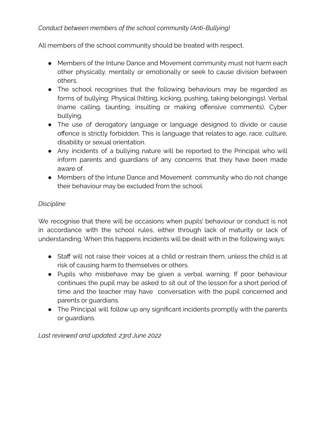# *Conduct between members of the school community (Anti-Bullying)*

All members of the school community should be treated with respect.

- Members of the Intune Dance and Movement community must not harm each other physically, mentally or emotionally or seek to cause division between others.
- The school recognises that the following behaviours may be regarded as forms of bullying: Physical (hitting, kicking, pushing, taking belongings), Verbal (name calling, taunting, insulting or making offensive comments), Cyber bullying.
- The use of derogatory language or language designed to divide or cause offence is strictly forbidden. This is language that relates to age, race, culture, disability or sexual orientation.
- Any incidents of a bullying nature will be reported to the Principal who will inform parents and guardians of any concerns that they have been made aware of.
- Members of the Intune Dance and Movement community who do not change their behaviour may be excluded from the school.

## *Discipline*

We recognise that there will be occasions when pupils' behaviour or conduct is not in accordance with the school rules, either through lack of maturity or lack of understanding. When this happens incidents will be dealt with in the following ways:

- Staff will not raise their voices at a child or restrain them, unless the child is at risk of causing harm to themselves or others.
- Pupils who misbehave may be given a verbal warning. If poor behaviour continues the pupil may be asked to sit out of the lesson for a short period of time and the teacher may have conversation with the pupil concerned and parents or guardians.
- The Principal will follow up any significant incidents promptly with the parents or guardians.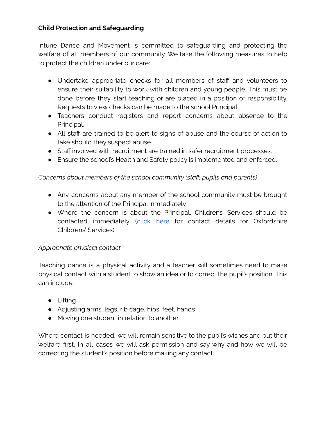# <span id="page-5-0"></span>**Child Protection and Safeguarding**

Intune Dance and Movement is committed to safeguarding and protecting the welfare of all members of our community. We take the following measures to help to protect the children under our care:

- Undertake appropriate checks for all members of staff and volunteers to ensure their suitability to work with children and young people. This must be done before they start teaching or are placed in a position of responsibility. Requests to view checks can be made to the school Principal.
- Teachers conduct registers and report concerns about absence to the Principal.
- All staff are trained to be alert to signs of abuse and the course of action to take should they suspect abuse.
- Staff involved with recruitment are trained in safer recruitment processes.
- Ensure the school's Health and Safety policy is implemented and enforced.

# *Concerns about members of the school community (staff, pupils and parents)*

- Any concerns about any member of the school community must be brought to the attention of the Principal immediately.
- Where the concern is about the Principal, Childrens' Services should be contacted immediately [\(click](https://www.oxfordshire.gov.uk/residents/children-education-and-families/childrens-services) here for contact details for Oxfordshire Childrens' Services).

# *Appropriate physical contact*

Teaching dance is a physical activity and a teacher will sometimes need to make physical contact with a student to show an idea or to correct the pupil's position. This can include:

- Lifting
- Adjusting arms, legs, rib cage, hips, feet, hands
- Moving one student in relation to another

Where contact is needed, we will remain sensitive to the pupil's wishes and put their welfare first. In all cases we will ask permission and say why and how we will be correcting the student's position before making any contact.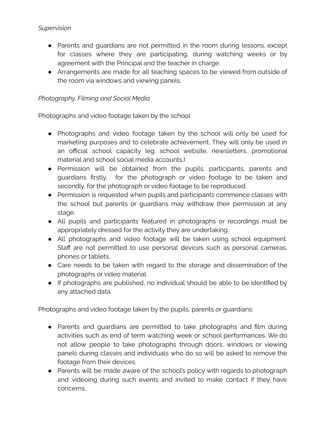- Parents and guardians are not permitted in the room during lessons, except for classes where they are participating, during watching weeks or by agreement with the Principal and the teacher in charge.
- Arrangements are made for all teaching spaces to be viewed from outside of the room via windows and viewing panels.

# *Photography, Filming and Social Media*

Photographs and video footage taken by the school

- Photographs and video footage taken by the school will only be used for marketing purposes and to celebrate achievement. They will only be used in an official school capacity (eg. school website, newsletters, promotional material and school social media accounts.)
- Permission will be obtained from the pupils, participants, parents and guardians firstly, for the photograph or video footage to be taken and secondly, for the photograph or video footage to be reproduced.
- Permission is requested when pupils and participants commence classes with the school but parents or guardians may withdraw their permission at any stage.
- All pupils and participants featured in photographs or recordings must be appropriately dressed for the activity they are undertaking.
- All photographs and video footage will be taken using school equipment. Staff are not permitted to use personal devices such as personal cameras, phones or tablets.
- Care needs to be taken with regard to the storage and dissemination of the photographs or video material.
- If photographs are published, no individual should be able to be identified by any attached data.

Photographs and video footage taken by the pupils, parents or guardians:

- Parents and guardians are permitted to take photographs and film during activities such as end of term watching week or school performances. We do not allow people to take photographs through doors, windows or viewing panels during classes and individuals who do so will be asked to remove the footage from their devices.
- Parents will be made aware of the school's policy with regards to photograph and videoing during such events and invited to make contact if they have concerns.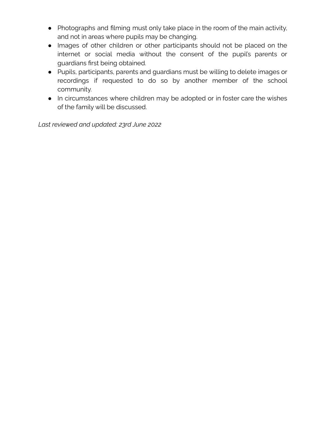- Photographs and filming must only take place in the room of the main activity, and not in areas where pupils may be changing.
- Images of other children or other participants should not be placed on the internet or social media without the consent of the pupil's parents or guardians first being obtained.
- Pupils, participants, parents and guardians must be willing to delete images or recordings if requested to do so by another member of the school community.
- In circumstances where children may be adopted or in foster care the wishes of the family will be discussed.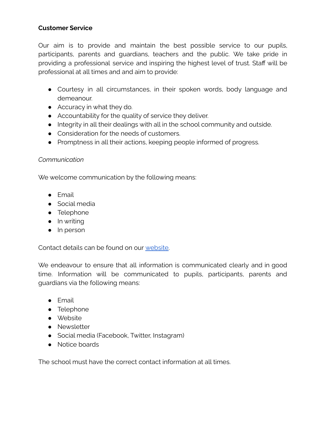## <span id="page-8-0"></span>**Customer Service**

Our aim is to provide and maintain the best possible service to our pupils, participants, parents and guardians, teachers and the public. We take pride in providing a professional service and inspiring the highest level of trust. Staff will be professional at all times and and aim to provide:

- Courtesy in all circumstances, in their spoken words, body language and demeanour.
- Accuracy in what they do.
- Accountability for the quality of service they deliver.
- Integrity in all their dealings with all in the school community and outside.
- Consideration for the needs of customers.
- Promptness in all their actions, keeping people informed of progress.

## *Communication*

We welcome communication by the following means:

- Email
- Social media
- Telephone
- In writing
- In person

Contact details can be found on our [website.](https://intunedance.co.uk/contact/)

We endeavour to ensure that all information is communicated clearly and in good time. Information will be communicated to pupils, participants, parents and guardians via the following means:

- Email
- Telephone
- Website
- Newsletter
- Social media (Facebook, Twitter, Instagram)
- Notice boards

The school must have the correct contact information at all times.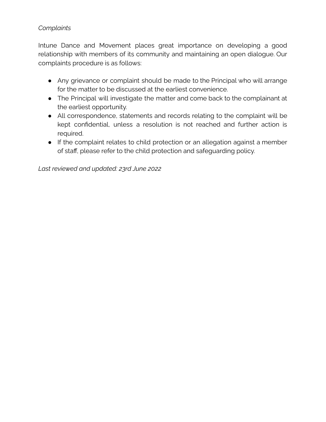# *Complaints*

Intune Dance and Movement places great importance on developing a good relationship with members of its community and maintaining an open dialogue. Our complaints procedure is as follows:

- Any grievance or complaint should be made to the Principal who will arrange for the matter to be discussed at the earliest convenience.
- The Principal will investigate the matter and come back to the complainant at the earliest opportunity.
- All correspondence, statements and records relating to the complaint will be kept confidential, unless a resolution is not reached and further action is required.
- If the complaint relates to child protection or an allegation against a member of staff, please refer to the child protection and safeguarding policy.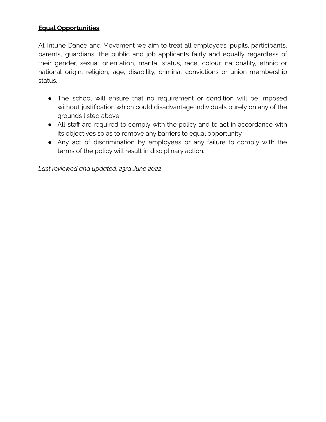## <span id="page-10-0"></span>**Equal Opportunities**

At Intune Dance and Movement we aim to treat all employees, pupils, participants, parents, guardians, the public and job applicants fairly and equally regardless of their gender, sexual orientation, marital status, race, colour, nationality, ethnic or national origin, religion, age, disability, criminal convictions or union membership status.

- The school will ensure that no requirement or condition will be imposed without justification which could disadvantage individuals purely on any of the grounds listed above.
- All staff are required to comply with the policy and to act in accordance with its objectives so as to remove any barriers to equal opportunity.
- Any act of discrimination by employees or any failure to comply with the terms of the policy will result in disciplinary action.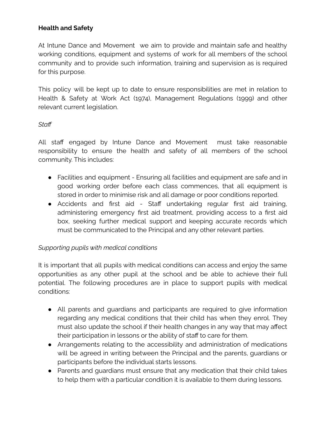# <span id="page-11-0"></span>**Health and Safety**

At Intune Dance and Movement we aim to provide and maintain safe and healthy working conditions, equipment and systems of work for all members of the school community and to provide such information, training and supervision as is required for this purpose.

This policy will be kept up to date to ensure responsibilities are met in relation to Health & Safety at Work Act (1974), Management Regulations (1999) and other relevant current legislation.

### *Staff*

All staff engaged by Intune Dance and Movement must take reasonable responsibility to ensure the health and safety of all members of the school community. This includes:

- Facilities and equipment Ensuring all facilities and equipment are safe and in good working order before each class commences, that all equipment is stored in order to minimise risk and all damage or poor conditions reported.
- Accidents and first aid Staff undertaking regular first aid training, administering emergency first aid treatment, providing access to a first aid box, seeking further medical support and keeping accurate records which must be communicated to the Principal and any other relevant parties.

# *Supporting pupils with medical conditions*

It is important that all pupils with medical conditions can access and enjoy the same opportunities as any other pupil at the school and be able to achieve their full potential. The following procedures are in place to support pupils with medical conditions:

- All parents and guardians and participants are required to give information regarding any medical conditions that their child has when they enrol. They must also update the school if their health changes in any way that may affect their participation in lessons or the ability of staff to care for them.
- Arrangements relating to the accessibility and administration of medications will be agreed in writing between the Principal and the parents, guardians or participants before the individual starts lessons.
- Parents and guardians must ensure that any medication that their child takes to help them with a particular condition it is available to them during lessons.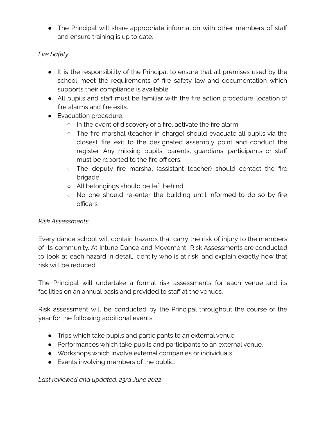● The Principal will share appropriate information with other members of staff and ensure training is up to date.

# *Fire Safety*

- It is the responsibility of the Principal to ensure that all premises used by the school meet the requirements of fire safety law and documentation which supports their compliance is available.
- All pupils and staff must be familiar with the fire action procedure, location of fire alarms and fire exits.
- Evacuation procedure:
	- In the event of discovery of a fire, activate the fire alarm
	- The fire marshal (teacher in charge) should evacuate all pupils via the closest fire exit to the designated assembly point and conduct the register. Any missing pupils, parents, guardians, participants or staff must be reported to the fire officers.
	- The deputy fire marshal (assistant teacher) should contact the fire brigade.
	- All belongings should be left behind.
	- No one should re-enter the building until informed to do so by fire officers.

# *Risk Assessments*

Every dance school will contain hazards that carry the risk of injury to the members of its community. At Intune Dance and Movement Risk Assessments are conducted to look at each hazard in detail, identify who is at risk, and explain exactly how that risk will be reduced.

The Principal will undertake a formal risk assessments for each venue and its facilities on an annual basis and provided to staff at the venues.

Risk assessment will be conducted by the Principal throughout the course of the year for the following additional events:

- Trips which take pupils and participants to an external venue.
- Performances which take pupils and participants to an external venue.
- Workshops which involve external companies or individuals.
- Events involving members of the public.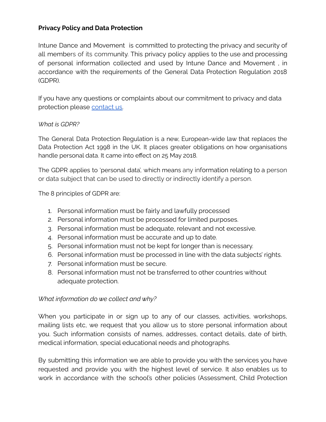## <span id="page-13-0"></span>**Privacy Policy and Data Protection**

Intune Dance and Movement is committed to protecting the privacy and security of all members of its community. This privacy policy applies to the use and processing of personal information collected and used by Intune Dance and Movement , in accordance with the requirements of the General Data Protection Regulation 2018 (GDPR).

If you have any questions or complaints about our commitment to privacy and data protection please [contact](mailto:info@intunedance.co.uk) us.

### *What is GDPR?*

The General Data Protection Regulation is a new, European-wide law that replaces the Data Protection Act 1998 in the UK. It places greater obligations on how organisations handle personal data. It came into effect on 25 May 2018.

The GDPR applies to 'personal data', which means any information relating to a person or data subject that can be used to directly or indirectly identify a person.

The 8 principles of GDPR are:

- 1. Personal information must be fairly and lawfully processed
- 2. Personal information must be processed for limited purposes.
- 3. Personal information must be adequate, relevant and not excessive.
- 4. Personal information must be accurate and up to date.
- 5. Personal information must not be kept for longer than is necessary.
- 6. Personal information must be processed in line with the data subjects' rights.
- 7. Personal information must be secure.
- 8. Personal information must not be transferred to other countries without adequate protection.

### *What information do we collect and why?*

When you participate in or sign up to any of our classes, activities, workshops, mailing lists etc, we request that you allow us to store personal information about you. Such information consists of names, addresses, contact details, date of birth, medical information, special educational needs and photographs.

By submitting this information we are able to provide you with the services you have requested and provide you with the highest level of service. It also enables us to work in accordance with the school's other policies (Assessment, Child Protection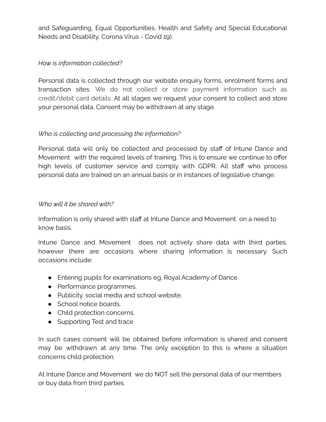and Safeguarding, Equal Opportunities, Health and Safety and Special Educational Needs and Disability, Corona Virus - Covid 19).

## *How is information collected?*

Personal data is collected through our website enquiry forms, enrolment forms and transaction sites. We do not collect or store payment information such as credit/debit card details. At all stages we request your consent to collect and store your personal data. Consent may be withdrawn at any stage.

# *Who is collecting and processing the information?*

Personal data will only be collected and processed by staff of Intune Dance and Movement with the required levels of training. This is to ensure we continue to offer high levels of customer service and comply with GDPR. All staff who process personal data are trained on an annual basis or in instances of legislative change.

### *Who will it be shared with?*

Information is only shared with staff at Intune Dance and Movement on a need to know basis.

Intune Dance and Movement does not actively share data with third parties, however there are occasions where sharing information is necessary. Such occasions include:

- Entering pupils for examinations eg. Royal Academy of Dance.
- Performance programmes.
- Publicity, social media and school website.
- School notice boards.
- Child protection concerns.
- Supporting Test and trace

In such cases consent will be obtained before information is shared and consent may be withdrawn at any time. The only exception to this is where a situation concerns child protection.

At Intune Dance and Movement we do NOT sell the personal data of our members or buy data from third parties.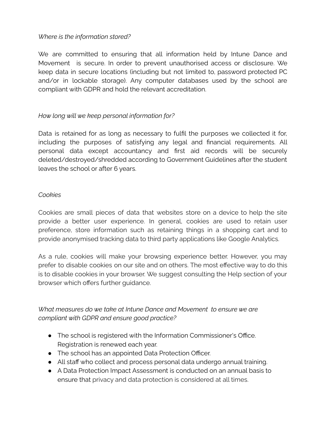### *Where is the information stored?*

We are committed to ensuring that all information held by Intune Dance and Movement is secure. In order to prevent unauthorised access or disclosure. We keep data in secure locations (including but not limited to, password protected PC and/or in lockable storage). Any computer databases used by the school are compliant with GDPR and hold the relevant accreditation.

# *How long will we keep personal information for?*

Data is retained for as long as necessary to fulfil the purposes we collected it for, including the purposes of satisfying any legal and financial requirements. All personal data except accountancy and first aid records will be securely deleted/destroyed/shredded according to Government Guidelines after the student leaves the school or after 6 years.

#### *Cookies*

Cookies are small pieces of data that websites store on a device to help the site provide a better user experience. In general, cookies are used to retain user preference, store information such as retaining things in a shopping cart and to provide anonymised tracking data to third party applications like Google Analytics.

As a rule, cookies will make your browsing experience better. However, you may prefer to disable cookies on our site and on others. The most effective way to do this is to disable cookies in your browser. We suggest consulting the Help section of your browser which offers further guidance.

## *What measures do we take at Intune Dance and Movement to ensure we are compliant with GDPR and ensure good practice?*

- The school is registered with the Information Commissioner's Office. Registration is renewed each year.
- The school has an appointed Data Protection Officer.
- All staff who collect and process personal data undergo annual training.
- A Data Protection Impact Assessment is conducted on an annual basis to ensure that privacy and data protection is considered at all times.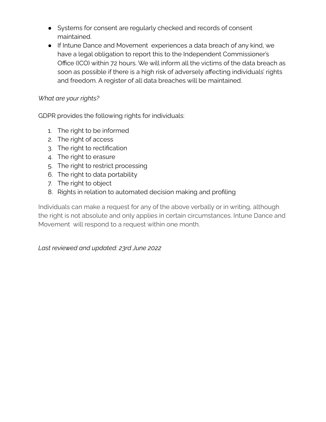- Systems for consent are regularly checked and records of consent maintained.
- If Intune Dance and Movement experiences a data breach of any kind, we have a legal obligation to report this to the Independent Commissioner's Office (ICO) within 72 hours. We will inform all the victims of the data breach as soon as possible if there is a high risk of adversely affecting individuals' rights and freedom. A register of all data breaches will be maintained.

## *What are your rights?*

GDPR provides the following rights for individuals:

- 1. The right to be informed
- 2. The right of access
- 3. The right to rectification
- 4. The right to erasure
- 5. The right to restrict processing
- 6. The right to data portability
- 7. The right to object
- 8. Rights in relation to automated decision making and profiling

Individuals can make a request for any of the above verbally or in writing, although the right is not absolute and only applies in certain circumstances. Intune Dance and Movement will respond to a request within one month.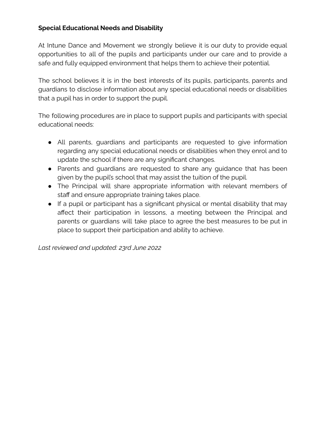# <span id="page-17-0"></span>**Special Educational Needs and Disability**

At Intune Dance and Movement we strongly believe it is our duty to provide equal opportunities to all of the pupils and participants under our care and to provide a safe and fully equipped environment that helps them to achieve their potential.

The school believes it is in the best interests of its pupils, participants, parents and guardians to disclose information about any special educational needs or disabilities that a pupil has in order to support the pupil.

The following procedures are in place to support pupils and participants with special educational needs:

- All parents, guardians and participants are requested to give information regarding any special educational needs or disabilities when they enrol and to update the school if there are any significant changes.
- Parents and guardians are requested to share any guidance that has been given by the pupil's school that may assist the tuition of the pupil.
- The Principal will share appropriate information with relevant members of staff and ensure appropriate training takes place.
- If a pupil or participant has a significant physical or mental disability that may affect their participation in lessons, a meeting between the Principal and parents or guardians will take place to agree the best measures to be put in place to support their participation and ability to achieve.